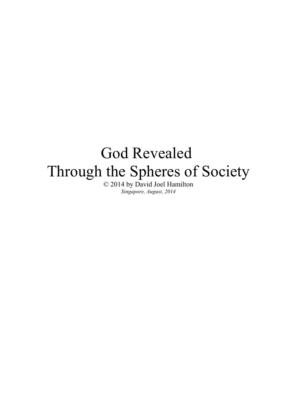# God Revealed Through the Spheres of Society

© 2014 by David Joel Hamilton *Singapore, August, 2014*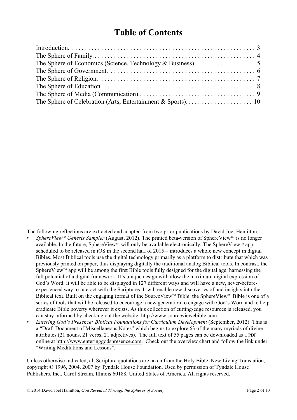# **Table of Contents**

The following reflections are extracted and adapted from two prior publications by David Joel Hamilton:

- SphereView<sup>TM</sup> Genesis Sampler (August, 2012). The printed beta-version of SphereView<sup>TM</sup> is no longer available. In the future, SphereView<sup> $m$ </sup> will only be available electronically. The SphereView<sup> $m$ </sup> app – scheduled to be released in iOS in the second half of 2015 – introduces a whole new concept in digital Bibles. Most Biblical tools use the digital technology primarily as a platform to distribute that which was previously printed on paper, thus displaying digitally the traditional analog Biblical tools. In contrast, the SphereView™ app will be among the first Bible tools fully designed for the digital age, harnessing the full potential of a digital framework. It's unique design will allow the maximum digital expression of God's Word. It will be able to be displayed in 127 different ways and will have a new, never-beforeexperienced way to interact with the Scriptures. It will enable new discoveries of and insights into the Biblical text. Built on the engaging format of the SourceView™ Bible, the SphereView™ Bible is one of a series of tools that will be released to encourage a new generation to engage with God's Word and to help eradicate Bible poverty wherever it exists. As this collection of cutting-edge resources is released, you can stay informed by checking out the website: http://www.sourceviewebible.com.
- *Entering God's Presence: Biblical Foundations for Curriculum Development* (September, 2012). This is a "Draft Document of Miscellaneous Notes" which begins to explore 63 of the many myriads of divine attributes (21 nouns, 21 verbs, 21 adjectives). The full text of 55 pages can be downloaded as a PDF online at http://www.enteringgodspresence.com. Check out the overview chart and follow the link under "Writing Meditations and Lessons".

Unless otherwise indicated, all Scripture quotations are taken from the Holy Bible, New Living Translation, copyright © 1996, 2004, 2007 by Tyndale House Foundation. Used by permission of Tyndale House Publishers, Inc., Carol Stream, Illinois 60188, United States of America. All rights reserved.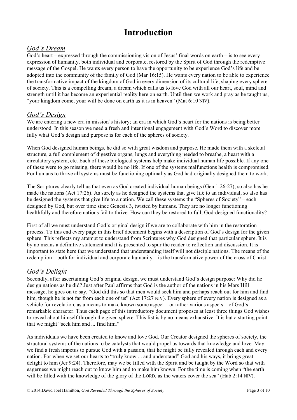# **Introduction**

### *God's Dream*

God's heart – expressed through the commissioning vision of Jesus' final words on earth – is to see every expression of humanity, both individual and corporate, restored by the Spirit of God through the redemptive message of the Gospel. He wants every person to have the opportunity to be experience God's life and be adopted into the community of the family of God (Mar 16:15). He wants every nation to be able to experience the transformative impact of the kingdom of God in every dimension of its cultural life, shaping every sphere of society. This is a compelling dream; a dream which calls us to love God with all our heart, soul, mind and strength until it has become an experiential reality here on earth. Until then we work and pray as he taught us, "your kingdom come, your will be done on earth as it is in heaven" (Mat 6:10 NIV).

### *God's Design*

We are entering a new era in mission's history; an era in which God's heart for the nations is being better understood. In this season we need a fresh and intentional engagement with God's Word to discover more fully what God's design and purpose is for each of the spheres of society.

When God designed human beings, he did so with great wisdom and purpose. He made them with a skeletal structure, a full complement of digestive organs, lungs and everything needed to breathe, a heart with a circulatory system, etc. Each of these biological systems help make individual human life possible. If any one of these were to go missing, there would be no life. If one of the systems malfunctions health is compromised. For humans to thrive all systems must be functioning optimally as God had originally designed them to work.

The Scriptures clearly tell us that even as God created individual human beings (Gen 1:26-27), so also has he made the nations (Act 17:26). As surely as he designed the systems that give life to an individual, so also has he designed the systems that give life to a nation. We call these systems the "Spheres of Society" – each designed by God, but over time since Genesis 3, twisted by humans. They are no longer functioning healthfully and therefore nations fail to thrive. How can they be restored to full, God-designed functionality?

First of all we must understand God's original design if we are to collaborate with him in the restoration process. To this end every page in this brief document begins with a description of God's design for the given sphere. This reflects my attempt to understand from Scriptures why God designed that particular sphere. It is by no means a definitive statement and it is presented to spur the reader to reflection and discussion. It is important to state here that we understand that understanding itself will not disciple nations. The means of the redemption – both for individual and corporate humanity – is the transformative power of the cross of Christ.

### *God's Delight*

Secondly, after ascertaining God's original design, we must understand God's design purpose: Why did he design nations as he did? Just after Paul affirms that God is the author of the nations in his Mars Hill message, he goes on to say, "God did this so that men would seek him and perhaps reach out for him and find him, though he is not far from each one of us" (Act 17:27 NIV). Every sphere of every nation is designed as a vehicle for revelation, as a means to make known some aspect – or rather various aspects – of God's remarkable character. Thus each page of this introductory document proposes at least three things God wishes to reveal about himself through the given sphere. This list is by no means exhaustive. It is but a starting point that we might "seek him and ... find him."

As individuals we have been created to know and love God. Our Creator designed the spheres of society, the structural systems of the nations to be catalysts that would propel us towards that knowledge and love. May we find a fresh impetus to pursue God with a passion, that he might be fully revealed through each and every nation. For when we set our hearts to "truly know ... and understand" God and his ways, it brings great delight to him (Jer 9:24). Therefore, may we be filled with the Spirit and be taught by the Word so that with eagerness we might reach out to know him and to make him known. For the time is coming when "the earth will be filled with the knowledge of the glory of the LORD, as the waters cover the sea" (Hab 2:14 NIV).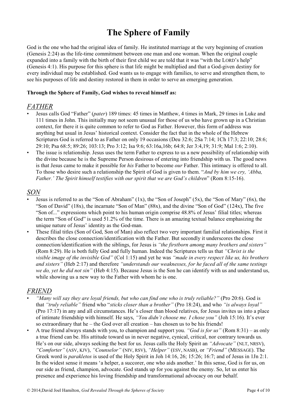# **The Sphere of Family**

God is the one who had the original idea of family. He instituted marriage at the very beginning of creation (Genesis 2:24) as the life-time commitment between one man and one woman. When the original couple expanded into a family with the birth of their first child we are told that it was "with the LORD's help" (Genesis 4:1). His purpose for this sphere is that life might be multiplied and that a God-given destiny for every individual may be established. God wants us to engage with families, to serve and strengthen them, to see his purposes of life and destiny restored in them in order to serve an emerging generation.

#### **Through the Sphere of Family, God wishes to reveal himself as:**

#### *FATHER*

- Jesus calls God "Father" (*pater*) 189 times: 45 times in Matthew, 4 times in Mark, 29 times in Luke and 111 times in John. This initially may not seem unusual for those of us who have grown up in a Christian context, for there it is quite common to refer to God as Father. However, this form of address was anything but usual in Jesus' historical context. Consider the fact that in the whole of the Hebrew Scriptures God is referred to as Father on only 19 occasions (Deu 32:6; 2Sa 7:14; 1Ch 17:3; 22:10; 28:6; 29:10; Psa 68:5; 89:26; 103:13; Pro 3:12; Isa 9:6; 63:16a,16b; 64:8; Jer 3:4,19; 31:9; Mal 1:6; 2:10).
- The issue is relationship. Jesus uses the term Father to express to us a new possibility of relationship with the divine because he is the Supreme Person desirous of entering into friendship with us. The good news is that Jesus came to make it possible for *his* Father to become *our* Father. This intimacy is offered to all. To those who desire such a relationship the Spirit of God is given to them. "*And by him we cry, 'Abba, Father.' The Spirit himself testifies with our spirit that we are God's children*" (Rom 8:15-16).

#### *SON*

- Jesus is referred to as the "Son of Abraham"  $(1x)$ , the "Son of Joseph"  $(5x)$ , the "Son of Mary"  $(6x)$ , the "Son of David" (18x), the incarnate "Son of Man" (88x), and the divine "Son of God" (124x), The five "Son of..." expressions which point to his human origin comprise 48.8% of Jesus' filial titles; whereas the term "Son of God" is used 51.2% of the time. There is an amazing textual balance emphasizing the unique nature of Jesus' identity as the God-man.
- These filial titles (Son of God, Son of Man) also reflect two very important familial relationships. First it describes the close connection/identification with the Father. But secondly it underscores the close connection/identification with the siblings, for Jesus is *"the firstborn among many brothers and sisters"* (Rom 8:29). He is both fully God and fully human. Indeed the Scriptures tells us that *"Christ is the visible image of the invisible God"* (Col 1:15) and yet he was *"made in every respect like us, his brothers and sisters"* (Heb 2:17) and therefore *"understands our weaknesses, for he faced all of the same testings we do, yet he did not sin"* (Heb 4:15). Because Jesus is the Son he can identify with us and understand us, while showing us a new way to the Father with whom he is one.

#### *FRIEND*

- *"Many will say they are loyal friends, but who can find one who is truly reliable?"* (Pro 20:6). God is that *"truly reliable"* friend who "*sticks closer than a brother"* (Pro 18:24), and who *"is always loyal"* (Pro 17:17) in any and all circumstances. He's closer than blood relatives, for Jesus invites us into a place of intimate friendship with himself. He says, *"You didn't choose me. I chose you"* (Joh 15:16). It's ever so extraordinary that he – the God over all creation – has chosen us to be his friends!
- A true friend always stands with you, to champion and support you. *"God is for us"* (Rom 8:31) as only a true friend can be. His attitude toward us in never negative, cynical, critical, nor contrary towards us. He's on our side, always seeking the best for us. Jesus calls the Holy Spirit an *"Advocate"* (NLT, NRSV), *"Comforter"* (ASV, KJV), *"Counselor"* (NIV, RSV), *"Helper"* (ESV, NASB), or *"Friend"* (MESSAGE). The Greek word is *parakletos* is used of the Holy Spirit in Joh 14:16, 26; 15:26; 16:7; and of Jesus in 1Jn 2:1. In the widest sense it means 'a helper, a succorer, one who aids another.' In this sense, God is for us, on our side as friend, champion, advocate. God stands up for you against the enemy. So, let us enter his presence and experience his loving friendship and transformational advocacy on our behalf.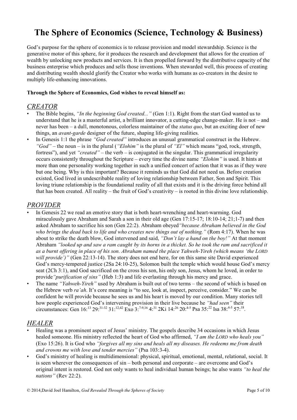# **The Sphere of Economics (Science, Technology & Business)**

God's purpose for the sphere of economics is to release provision and model stewardship. Science is the generative motor of this sphere, for it produces the research and development that allows for the creation of wealth by unlocking new products and services. It is then propelled forward by the distributive capacity of the business enterprise which produces and sells those inventions. When stewarded well, this process of creating and distributing wealth should glorify the Creator who works with humans as co-creators in the desire to multiply life-enhancing innovations.

#### **Through the Sphere of Economics, God wishes to reveal himself as:**

#### *CREATOR*

- The Bible begins, *"In the beginning God created..."* (Gen 1:1). Right from the start God wanted us to understand that he is a masterful artist, a brilliant innovator, a cutting-edge change-maker. He is not – and never has been – a dull, monotonous, colorless maintainer of the *status quo*, but an exciting doer of new things, an *avant-garde* designer of the future, shaping life-giving realities.
- In Genesis 1:1 the phrase *"God created"* introduces an unusual grammatical construct in the Hebrew. *"God"* – the noun – is in the plural (*"Elohim"* is the plural of *"El"* which means "god, rock, strength, fortress"), and yet *"created"* – the verb – is conjugated in the singular. This grammatical irregularity occurs consistently throughout the Scripture – every time the divine name *"Elohim"* is used. It hints at more than one personality working together in such a unified concert of action that it was as if they were but one being. Why is this important? Because it reminds us that God did not need us. Before creation existed, God lived in undescribable reality of loving relationship between Father, Son and Spirit. This loving triune relationship is the foundational reality of all that exists and it is the driving force behind all that has been created. All reality – the fruit of God's creativity – is rooted in this divine love relationship.

### *PROVIDER*

- In Genesis 22 we read an emotive story that is both heart-wrenching and heart-warming. God miraculously gave Abraham and Sarah a son in their old age (Gen 17:15-17; 18:10-14; 21;1-7) and then asked Abraham to sacrifice his son (Gen 22:2). Abraham obeyed*"because Abraham believed in the God who brings the dead back to life and who creates new things out of nothing."* (Rom 4:17). When he was about to strike the death blow, God intervened and said, *"Don't lay a hand on the boy!"* At that moment Abraham *"looked up and saw a ram caught by its horns in a thicket. So he took the ram and sacrificed it as a burnt offering in place of his son. Abraham named the place Yahweh-Yireh (which means 'the LORD will provide')"* (Gen 22:13-14). The story does not end here, for on this same site David experienced God's mercy-tempered justice (2Sa 24:10-25), Solomon built the temple which would house God's mercy seat (2Ch 3:1), and God sacrificed on the cross his son, his only son, Jesus, whom he loved, in order to provide*"purification of sins"* (Heb 1:3) and life everlasting through his mercy and grace.
- The name *"Yahweh-Yireh"* used by Abraham is built out of two terms the second of which is based on the Hebrew verb *ra'ah*. It's core meaning is "to see, look at, inspect, perceive, consider." We can be confident he will provide because he sees us and his heart is moved by our condition. Many stories tell how people experienced God's intervening provision in their live because he *"had seen"* their circumstances: Gen  $16:^{13}$  29:<sup>31-32</sup> 31:<sup>12,42</sup> Exo 3:<sup>7-9,16</sup> 4:<sup>31</sup> 2Ki 14:<sup>26</sup> 20:<sup>4-5</sup> Psa 35:<sup>22</sup> Isa 38:<sup>4-5</sup> 57:<sup>18</sup>.

### *HEALER*

- Healing was a prominent aspect of Jesus' ministry. The gospels describe 34 occasions in which Jesus healed someone. His ministry reflected the heart of God who affirmed, *"I am the LORD who heals you"* (Exo 15:26). It is God who *"forgives all my sins and heals all my diseases. He redeems me from death and crowns me with love and tender mercies"* (Psa 103:3-4).
- God's ministry of healing is multidimensional: physical, spiritual, emotional, mental, relational, social. It is seen wherever the consequences of sin – both personal and corporate – are overcome and God's original intent is restored. God not only wants to heal individual human beings; he also wants *"to heal the nations"* (Rev 22:2).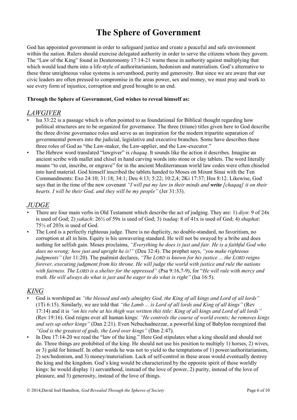# **The Sphere of Government**

God has appointed government in order to safeguard justice and create a peaceful and safe environment within the nation. Rulers should exercise delegated authority in order to serve the citizens whom they govern. The "Law of the King" found in Deuteronomy 17:14-21 warns those in authority against multiplying that which would lead them into a life-style of authoritarianism, hedonism and materialism. God's alternative to these three unrighteous value systems is servanthood, purity and generosity. But since we are aware that our civic leaders are often pressed to compromise in the areas power, sex and money, we must pray and work to see every form of injustice, corruption and greed brought to an end.

#### **Through the Sphere of Government, God wishes to reveal himself as:**

#### *LAWGIVER*

- Isa 33:22 is a passage which is often pointed to as foundational for Biblical thought regarding how political structures are to be organized for governance. The three (triune) titles given here to God describe the three divine governance roles and serve as an inspiration for the modern tripartite separation of governmental powers into the judicial, legislative and executive branches. Some have describes these three roles of God as "the Law-maker, the Law-applier, and the Law-executor."
- The Hebrew word translated "lawgiver" is *chaqaq*. It sounds like the action it describes. Imagine an ancient scribe with mallet and chisel in hand carving words into stone or clay tablets. The word literally means "to cut, inscribe, or engrave" for in the ancient Mediterranean world law codes were often chiseled into hard material. God himself inscribed the tablets handed to Moses on Mount Sinai with the Ten Commandments: Exo 24:10; 31:18; 34:1; Deu 4:13; 5:22; 10:2,4; 2Ki 17:37; Hos 8:12. Likewise, God says that in the time of the new covenant *"I will put my law in their minds and write [chaqaq] it on their hearts. I will be their God, and they will be my people"* (Jer 31:33).

### *JUDGE*

- There are four main verbs in Old Testament which describe the act of judging. They are: 1) *diyn*: 9 of 24x is used of God; 2) *yakach*: 26½ of 59x is used of God; 3) *tsadaq*: 8 of 41x is used of God; 4) *shaphat*: 75½ of 203x is used of God.
- The Lord is a perfectly righteous judge. There is no duplicity, no double-standard, no favoritism, no corruption at all in him. Equity is his unwavering standard. He will not be swayed by a bribe and does nothing for selfish gain. Moses proclaims, *"Everything he does is just and fair. He is a faithful God who does no wrong; how just and upright he is!"* (Deu 32:4). The prophet says, *"you make righteous judgments"* (Jer 11:20). The psalmist declares, *"The LORD is known for his justice ... the LORD reigns forever, executing judgment from his throne. He will judge the world with justice and rule the nations with fairness. The LORD is a shelter for the oppressed"* (Psa 9:16,7-9), for "*He will rule with mercy and truth. He will always do what is just and be eager to do what is right"* (Isa 16:5).

#### *KING*

- God is worshiped as *"the blessed and only almighty God, the King of all kings and Lord of all lords"* (1Ti 6:15). Similarly, we are told that *"the Lamb ... is Lord of all lords and King of all kings"* (Rev 17:14) and it is *"on his robe at his thigh was written this title: King of all kings and Lord of all lords"* (Rev 19:16). God reigns over all human kings: *"He controls the course of world events; he removes kings and sets up other kings"* (Dan 2:21). Even Nebuchadnezzar, a powerful king of Babylon recognized that *"God is the greatest of gods, the Lord over kings"* (Dan 2:47).
- In Deu 17:14-20 we read the "law of the king." Here God stipulates what a king should and should not do. Three things are prohibited of the king. He should not use his position to multiply 1) horses, 2) wives, or 3) gold for himself. In other words he was not to yield to the temptations of 1) power/authoritarianism, 2) sex/hedonism, and 3) money/materialism. Lack of self-control in these areas would eventually destroy the king and the kingdom. God's king would be characterized by the opposite spirit of these worldly kings: he would display 1) servanthood, instead of the love of power, 2) purity, instead of the love of pleasure, and 3) generosity, instead of the love of things.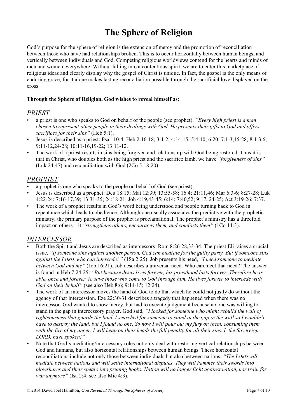# **The Sphere of Religion**

God's purpose for the sphere of religion is the extension of mercy and the promotion of reconciliation between those who have had relationships broken. This is to occur horizontally between human beings, and vertically between individuals and God. Competing religious worldviews contend for the hearts and minds of men and women everywhere. Without falling into a contentious spirit, we are to enter this marketplace of religious ideas and clearly display why the gospel of Christ is unique. In fact, the gospel is the only means of enduring grace, for it alone makes lasting reconciliation possible through the sacrificial love displayed on the cross.

#### **Through the Sphere of Religion, God wishes to reveal himself as:**

#### *PRIEST*

- a priest is one who speaks to God on behalf of the people (see prophet). *"Every high priest is a man chosen to represent other people in their dealings with God. He presents their gifts to God and offers sacrifices for their sins"* (Heb 5:1).
- Jesus is described as a priest: Psa 110:4; Heb 2:16-18; 3:1-2; 4:14-15; 5:4-10; 6:20; 7:1-3,15-28; 8:1-3,6; 9:11-12,24-28; 10:11-16,19-22; 13:11-12.
- The work of a priest results in sins being forgiven and relationship with God being restored. Thus it is that in Christ, who doubles both as the high priest and the sacrifice lamb, we have *"forgiveness of sins"* (Luk 24:47) and reconciliation with God (2Co 5:18-20).

## *PROPHET*

- a prophet is one who speaks to the people on behalf of God (see priest).
- Jesus is described as a prophet: Deu 18:15; Mat 12:39; 13:55-58; 16:4; 21:11,46; Mar 6:3-6; 8:27-28; Luk 4:22-24; 7:16-17,39; 13:31-35; 24:18-21; Joh 4:19,43-45; 6:14; 7:40,52; 9:17, 24-25; Act 3:19-26; 7:37.
- The work of a prophet results in God's word being understood and people turning back to God in repentance which leads to obedience. Although one usually associates the predictive with the prophetic ministry; the primary purpose of the prophet is proclamational. The prophet's ministry has a threefold impact on others – it *"strengthens others, encourages them, and comforts them"* (1Co 14:3).

### *INTERCESSOR*

- Both the Spirit and Jesus are described as intercessors: Rom 8:26-28,33-34. The priest Eli raises a crucial issue, *"If someone sins against another person, God can mediate for the guilty party. But if someone sins against the LORD, who can intercede?"* (1Sa 2:25). Job presents his need, *"I need someone to mediate between God and me"* (Job 16:21). Job describes a universal need. Who can meet that need? The answer is found in Heb 7:24-25: *"But because Jesus lives forever, his priesthood lasts forever. Therefore he is able, once and forever, to save those who come to God through him. He lives forever to intercede with God on their behalf"* (see also Heb 8:6; 9:14-15; 12:24).
- The work of an intercessor moves the hand of God to do that which he could not justly do without the agency of that intercession. Eze 22:30-31 describes a tragedy that happened when there was no intercessor. God wanted to show mercy, but had to execute judgement because no one was willing to stand in the gap in intercessory prayer. God said, *"I looked for someone who might rebuild the wall of righteousness that guards the land. I searched for someone to stand in the gap in the wall so I wouldn't have to destroy the land, but I found no one. So now I will pour out my fury on them, consuming them with the fire of my anger. I will heap on their heads the full penalty for all their sins. I, the Sovereign LORD, have spoken!"*
- Note that God's mediating/intercessory roles not only deal with restoring vertical relationships between God and humans, but also horizontal relationships between human beings. These horizontal reconciliations include not only those between individuals but also between nations. *"The LORD will mediate between nations and will settle international disputes. They will hammer their swords into plowshares and their spears into pruning hooks. Nation will no longer fight against nation, nor train for war anymore"* (Isa 2:4; see also Mic 4:3).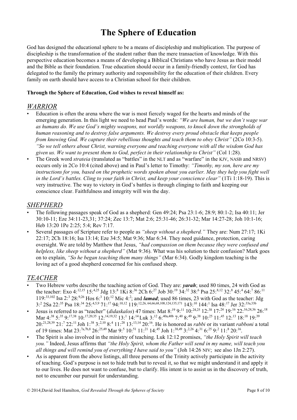# **The Sphere of Education**

God has designed the educational sphere to be a means of discipleship and multiplication. The purpose of discipleship is the transformation of the student rather than the mere transaction of knowledge. With this perspective education becomes a means of developing a Biblical Christians who have Jesus as their model and the Bible as their foundation. True education should occur in a family-friendly context, for God has delegated to the family the primary authority and responsibility for the education of their children. Every family on earth should have access to a Christian school for their children.

#### **Through the Sphere of Education, God wishes to reveal himself as:**

#### *WARRIOR*

- Education is often the arena where the war is most fiercely waged for the hearts and minds of the emerging generation. In this light we need to head Paul's words: *"We are human, but we don't wage war as humans do. We use God's mighty weapons, not worldly weapons, to knock down the strongholds of human reasoning and to destroy false arguments. We destroy every proud obstacle that keeps people from knowing God. We capture their rebellious thoughts and teach them to obey Christ"* (2Co 10:3-5). *"So we tell others about Christ, warning everyone and teaching everyone with all the wisdom God has given us. We want to present them to God, perfect in their relationship to Christ"* (Col 1:28).
- The Greek word *strateia* (translated as "battles" in the NLT and as "warfare" in the KJV, NASB and NRSV) occurs only in 2Co 10:4 (cited above) and in Paul's letter to Timothy: *"Timothy, my son, here are my instructions for you, based on the prophetic words spoken about you earlier. May they help you fight well in the Lord's battles. Cling to your faith in Christ, and keep your conscience clear"* (1Ti 1:18-19). This is very instructive. The way to victory in God's battles is through clinging to faith and keeping our conscience clear. Faithfulness and integrity will win the day.

### *SHEPHERD*

- The following passages speak of God as a shepherd: Gen 49:24; Psa 23:1-6; 28:9; 80:1-2; Isa 40:11; Jer 30:10-11; Eze 34:11-23,31; 37:24; Zec 13:7; Mat 2:6; 25:31-46; 26:31-32; Mar 14:27-28; Joh 10:1-16; Heb 13:20 1Pe 2:25; 5:4; Rev 7:17.
- Several passages of Scripture refer to people as *"sheep without a shepherd."* They are: Num 27:17; 1Ki 22:17; 2Ch 18:16; Isa 13:14; Eze 34:5; Mat 9:36; Mar 6:34. They need guidance, protection, caring oversight. We are told by Matthew that Jesus, *"had compassion on them because they were confused and helpless, like sheep without a shepherd"* (Mat 9:36). What was his solution to their confusion? Mark goes on to explain, *"So he began teaching them many things"* (Mar 6:34). Godly kingdom teaching is the loving act of a good shepherd concerned for his confused sheep.

# *TEACHER*

- Two Hebrew verbs describe the teaching action of God. They are: *yarah*; used 80 times, 24 with God as the teacher: Exo 4:<sup>12,15</sup> 15:<sup>4,25</sup> Jdg 13:<sup>8</sup> 1Ki 8:<sup>36</sup> 2Ch 6:<sup>27</sup> Job 30:<sup>19</sup> 34:<sup>32</sup> 38:<sup>6</sup> Psa 25:<sup>8,12</sup> 32:<sup>8</sup> 45:<sup>4</sup> 64:<sup>7</sup> 86:<sup>11</sup> 119:<sup>33,102</sup> Isa 2:<sup>3</sup> 28:<sup>9,26</sup> Hos 6:<sup>3</sup> 10:<sup>12</sup> Mic 4:<sup>2</sup>; and *lamad*; used 86 times, 23 with God as the teacher: Jdg  $3$ :<sup>2</sup> 2Sa 22:<sup>35</sup> Psa 18:<sup>34</sup> 25:<sup>4,5,9</sup> 71:<sup>17</sup> 94:<sup>10,12</sup> 119:<sup>12,26, 64,66,68,108,124,135,171</sup> 143:<sup>10</sup> 144:<sup>1</sup> Isa 48:<sup>17</sup> Jer 32:<sup>33a,33b</sup>
- Jesus is referred to as "teacher" (*didaskalos*) 47 times: Mat  $8.^{19}$  9:<sup>11</sup> 10:<sup>24,25</sup> 12:<sup>38</sup> 17:<sup>24</sup> 19:<sup>16</sup> 22:<sup>16,24,36</sup> 26:<sup>18</sup> Mar 4:<sup>38</sup> 5:<sup>35</sup> 9:<sup>17,38</sup> 10:<sup>17,20,35</sup> 12:<sup>14,19,32</sup> 13:<sup>1</sup> 14:<sup>14</sup> Luk 3:<sup>12</sup> 6:<sup>40a,40b</sup> 7:<sup>40</sup> 8:<sup>49</sup> 9:<sup>38</sup> 10:<sup>25</sup> 11:<sup>45</sup> 12:<sup>13</sup> 18:<sup>18</sup> 19:<sup>39</sup> 20:<sup>21,28,39</sup> 21:<sup>7</sup> 22:<sup>11</sup> Joh 1:<sup>38</sup> 3:<sup>2,10</sup> 8:<sup>4</sup> 11:<sup>28</sup> 13:<sup>13,14</sup> 20:<sup>16</sup>. He is honored as *rabbi* or its variant *rabboni* a total of 19 times: Mat  $23.^{7a,7b,8}$   $26.^{25,49}$  Mar  $9.^{5}$   $10.^{51}$   $11.^{21}$   $14.^{45}$  Joh  $1.^{38,49}$   $3.^{2,26}$   $4.^{31}$   $6.^{25}$   $9.^{2}$   $11.^{8}$   $20.^{16}$ .
- The Spirit is also involved in the ministry of teaching. Luk 12:12 promises, *"the Holy Spirit will teach you."* Indeed, Jesus affirms that *"the Holy Spirit, whom the Father will send in my name, will teach you all things and will remind you of everything I have said to you"* (Joh 14:26 NIV; see also 1Jn 2:27).
- As is apparent from the above listings, all three persons of the Trinity actively participate in the activity of teaching. God's purpose is not to hide truth but to reveal it, so that we might understand it and apply it to our lives. He does not want to confuse, but to clarify. His intent is to assist us in the discovery of truth, not to encumber our pursuit for understanding.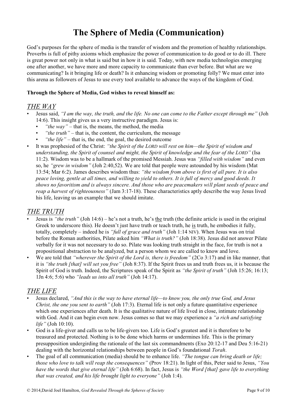# **The Sphere of Media (Communication)**

God's purposes for the sphere of media is the transfer of wisdom and the promotion of healthy relationships. Proverbs is full of pithy axioms which emphasize the power of communication to do good or to do ill. There is great power not only in what is said but in how it is said. Today, with new media technologies emerging one after another, we have more and more capacity to communicate than ever before. But what are we communicating? Is it bringing life or death? Is it enhancing wisdom or promoting folly? We must enter into this arena as followers of Jesus to use every tool available to advance the ways of the kingdom of God.

#### **Through the Sphere of Media, God wishes to reveal himself as:**

#### *THE WAY*

- Jesus said, *"I am the way, the truth, and the life. No one can come to the Father except through me"* (Joh 14:6). This insight gives us a very instructive paradigm. Jesus is:
	- *"the way"* that is, the means, the method, the media
	- *"the truth"* that is, the content, the curriculum, the message
	- *"the life"* that is, the end, the goal, the desired outcome
- It was prophesied of the Christ: *"the Spirit of the LORD will rest on him—the Spirit of wisdom and understanding, the Spirit of counsel and might, the Spirit of knowledge and the fear of the LORD"* (Isa 11:2). Wisdom was to be a hallmark of the promised Messiah. Jesus was *"filled with wisdom"* and even so, he *"grew in wisdom"* (Joh 2:40,52). We are told that people were astounded by his wisdom (Mat 13:54; Mar 6:2). James describes wisdom thus: *"the wisdom from above is first of all pure. It is also peace loving, gentle at all times, and willing to yield to others. It is full of mercy and good deeds. It shows no favoritism and is always sincere. And those who are peacemakers will plant seeds of peace and reap a harvest of righteousness"* (Jam 3:17-18). These characteristics aptly describe the way Jesus lived his life, leaving us an example that we should imitate.

#### *THE TRUTH*

- Jesus is *"the truth"* (Joh 14:6) he's not a truth, he's the truth (the definite article is used in the original Greek to underscore this). He doesn't just have truth or teach truth, he is truth, he embodies it fully, totally, completely – indeed he is *"full of grace and truth"* (Joh 1:14 NIV). When Jesus was on trial before the Roman authorities, Pilate asked him *"What is truth?"* (Joh 18:38). Jesus did not answer Pilate verbally for it was not necessary to do so. Pilate was looking truth straight in the face, for truth is not a propositional abstraction to be analyzed, but a person whom we are called to know and love.
- We are told that *"wherever the Spirit of the Lord is, there is freedom"* (2Co 3:17) and in like manner, that it is *"the truth [that] will set you free"* (Joh 8:37). If the Spirit frees us and truth frees us, it is because the Spirit of God is truth. Indeed, the Scriptures speak of the Spirit as *"the Spirit of truth"* (Joh 15:26; 16:13; 1Jn 4:6; 5:6) who *"leads us into all truth"* (Joh 14:17).

#### *THE LIFE*

- Jesus declared, *"And this is the way to have eternal life—to know you, the only true God, and Jesus Christ, the one you sent to earth*" (Joh 17:3). Eternal life is not only a future quantitative experience which one experiences after death. It is the qualitative nature of life lived in close, intimate relationship with God. And it can begin even now. Jesus comes so that we may experience a *"a rich and satisfying life"* (Joh 10:10).
- God is a life-giver and calls us to be life-givers too. Life is God's greatest and it is therefore to be treasured and protected. Nothing is to be done which harms or undermines life. This is the primary presupposition undergirding the rationale of the last six commandments (Exo 20:12-17 and Deu 5:16-21) dealing with the horizontal relationships between people in God's foundational *Torah*.
- The goal of all communication (media) should be to enhance life. *"The tongue can bring death or life; those who love to talk will reap the consequences"* (Prov 18:21). In light of this, Peter said to Jesus, *"You have the words that give eternal life"* (Joh 6:68). In fact, Jesus is *"the Word [that] gave life to everything that was created, and his life brought light to everyone"* (Joh 1:4).